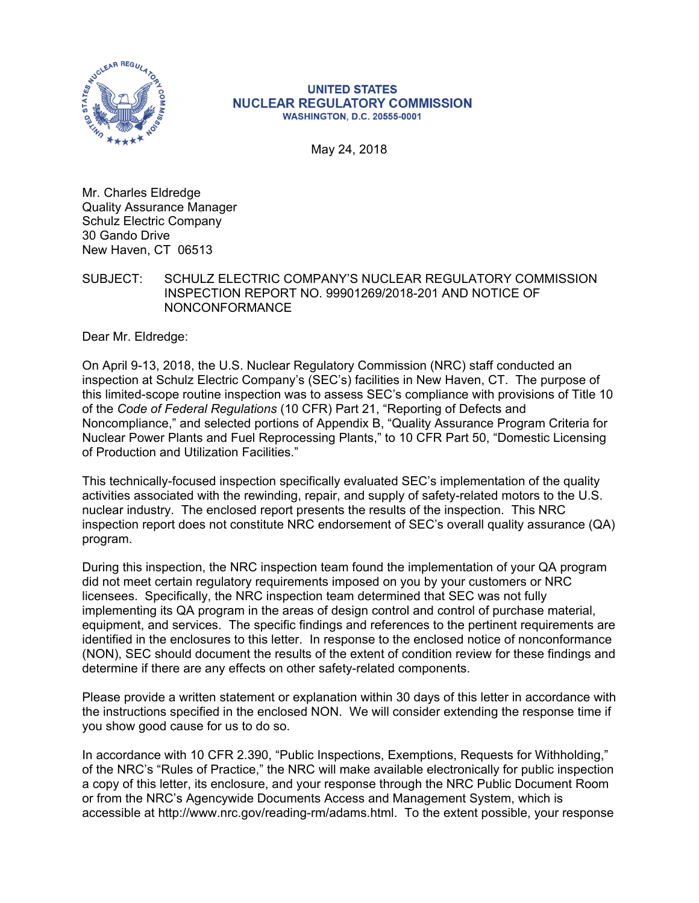

#### **UNITED STATES NUCLEAR REGULATORY COMMISSION WASHINGTON, D.C. 20555-0001**

May 24, 2018

Mr. Charles Eldredge Quality Assurance Manager Schulz Electric Company 30 Gando Drive New Haven, CT 06513

SUBJECT: SCHULZ ELECTRIC COMPANY'S NUCLEAR REGULATORY COMMISSION INSPECTION REPORT NO. 99901269/2018-201 AND NOTICE OF NONCONFORMANCE

Dear Mr. Eldredge:

On April 9-13, 2018, the U.S. Nuclear Regulatory Commission (NRC) staff conducted an inspection at Schulz Electric Company's (SEC's) facilities in New Haven, CT. The purpose of this limited-scope routine inspection was to assess SEC's compliance with provisions of Title 10 of the *Code of Federal Regulations* (10 CFR) Part 21, "Reporting of Defects and Noncompliance," and selected portions of Appendix B, "Quality Assurance Program Criteria for Nuclear Power Plants and Fuel Reprocessing Plants," to 10 CFR Part 50, "Domestic Licensing of Production and Utilization Facilities."

This technically-focused inspection specifically evaluated SEC's implementation of the quality activities associated with the rewinding, repair, and supply of safety-related motors to the U.S. nuclear industry. The enclosed report presents the results of the inspection. This NRC inspection report does not constitute NRC endorsement of SEC's overall quality assurance (QA) program.

During this inspection, the NRC inspection team found the implementation of your QA program did not meet certain regulatory requirements imposed on you by your customers or NRC licensees. Specifically, the NRC inspection team determined that SEC was not fully implementing its QA program in the areas of design control and control of purchase material, equipment, and services. The specific findings and references to the pertinent requirements are identified in the enclosures to this letter. In response to the enclosed notice of nonconformance (NON), SEC should document the results of the extent of condition review for these findings and determine if there are any effects on other safety-related components.

Please provide a written statement or explanation within 30 days of this letter in accordance with the instructions specified in the enclosed NON. We will consider extending the response time if you show good cause for us to do so.

In accordance with 10 CFR 2.390, "Public Inspections, Exemptions, Requests for Withholding," of the NRC's "Rules of Practice," the NRC will make available electronically for public inspection a copy of this letter, its enclosure, and your response through the NRC Public Document Room or from the NRC's Agencywide Documents Access and Management System, which is accessible at http://www.nrc.gov/reading-rm/adams.html. To the extent possible, your response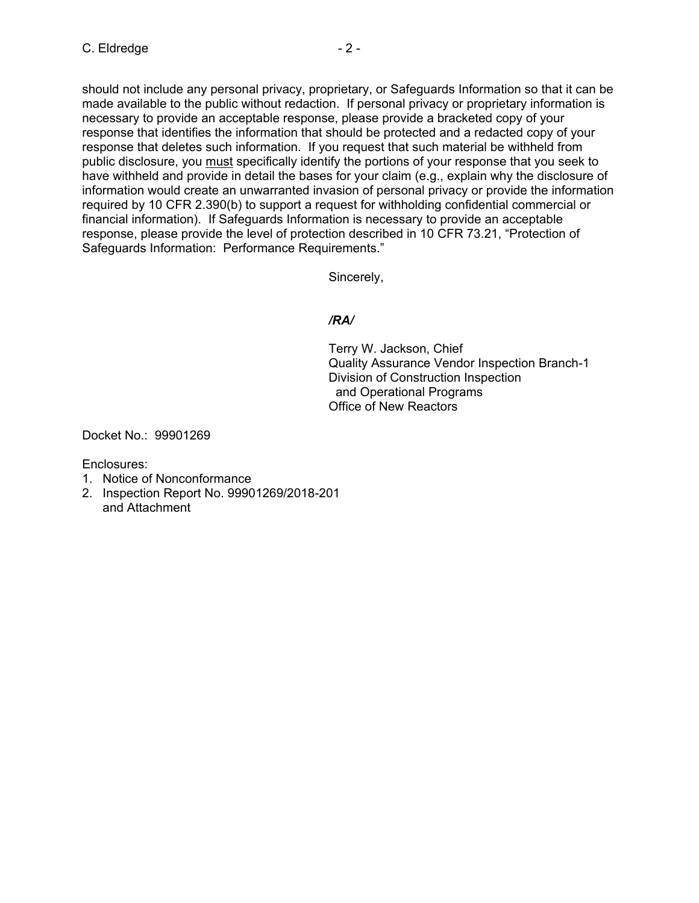should not include any personal privacy, proprietary, or Safeguards Information so that it can be made available to the public without redaction. If personal privacy or proprietary information is necessary to provide an acceptable response, please provide a bracketed copy of your response that identifies the information that should be protected and a redacted copy of your response that deletes such information. If you request that such material be withheld from public disclosure, you must specifically identify the portions of your response that you seek to have withheld and provide in detail the bases for your claim (e.g., explain why the disclosure of information would create an unwarranted invasion of personal privacy or provide the information required by 10 CFR 2.390(b) to support a request for withholding confidential commercial or financial information). If Safeguards Information is necessary to provide an acceptable response, please provide the level of protection described in 10 CFR 73.21, "Protection of Safeguards Information: Performance Requirements."

Sincerely,

# */RA/*

Terry W. Jackson, Chief Quality Assurance Vendor Inspection Branch-1 Division of Construction Inspection and Operational Programs Office of New Reactors

Docket No.: 99901269

Enclosures:

- 1. Notice of Nonconformance
- 2. Inspection Report No. 99901269/2018-201 and Attachment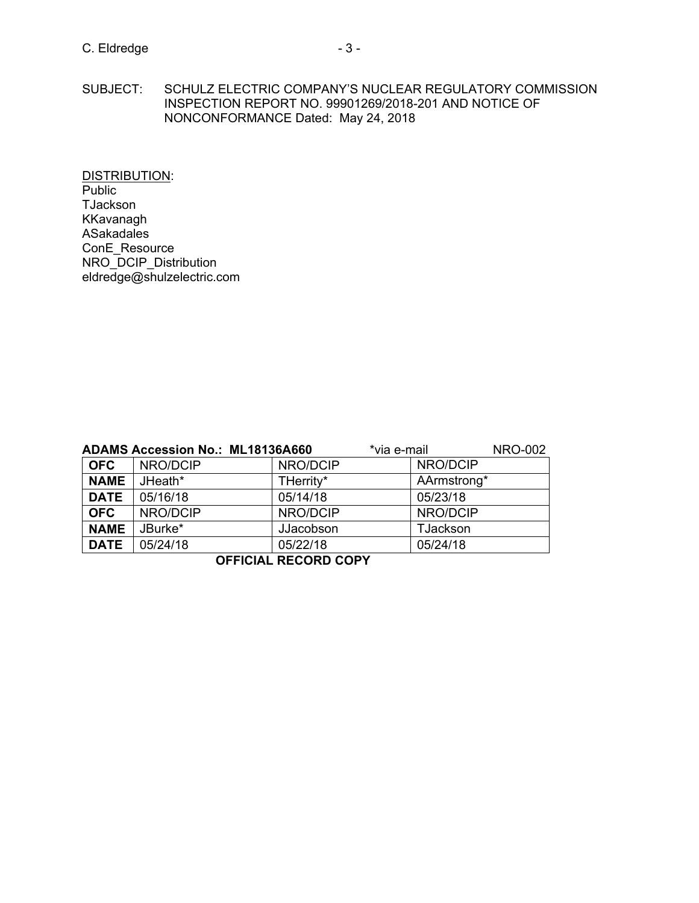SUBJECT: SCHULZ ELECTRIC COMPANY'S NUCLEAR REGULATORY COMMISSION INSPECTION REPORT NO. 99901269/2018-201 AND NOTICE OF NONCONFORMANCE Dated: May 24, 2018

DISTRIBUTION: Public TJackson KKavanagh ASakadales ConE\_Resource NRO\_DCIP\_Distribution eldredge@shulzelectric.com

|             | <b>ADAMS Accession No.: ML18136A660</b> |           | *via e-mail | <b>NRO-002</b> |
|-------------|-----------------------------------------|-----------|-------------|----------------|
| <b>OFC</b>  | NRO/DCIP                                | NRO/DCIP  | NRO/DCIP    |                |
| <b>NAME</b> | JHeath*                                 | THerrity* | AArmstrong* |                |
| <b>DATE</b> | 05/16/18                                | 05/14/18  | 05/23/18    |                |
| <b>OFC</b>  | NRO/DCIP                                | NRO/DCIP  | NRO/DCIP    |                |
| <b>NAME</b> | JBurke*                                 | JJacobson | TJackson    |                |
| <b>DATE</b> | 05/24/18                                | 05/22/18  | 05/24/18    |                |

**OFFICIAL RECORD COPY**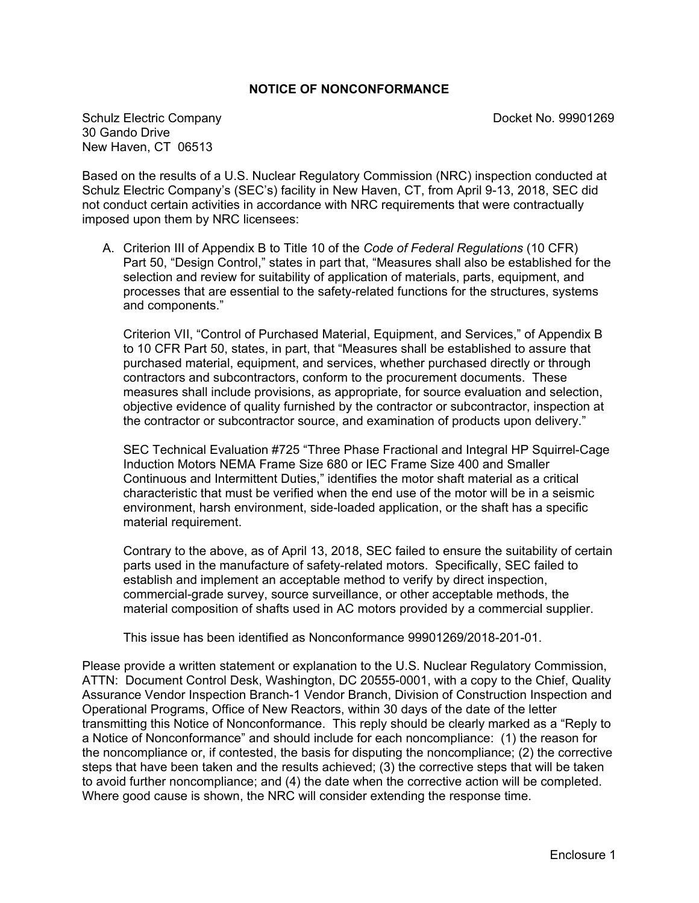## **NOTICE OF NONCONFORMANCE**

Schulz Electric Company **Docket No. 99901269** 30 Gando Drive New Haven, CT 06513

Based on the results of a U.S. Nuclear Regulatory Commission (NRC) inspection conducted at Schulz Electric Company's (SEC's) facility in New Haven, CT, from April 9-13, 2018, SEC did not conduct certain activities in accordance with NRC requirements that were contractually imposed upon them by NRC licensees:

A. Criterion III of Appendix B to Title 10 of the *Code of Federal Regulations* (10 CFR) Part 50, "Design Control," states in part that, "Measures shall also be established for the selection and review for suitability of application of materials, parts, equipment, and processes that are essential to the safety-related functions for the structures, systems and components."

Criterion VII, "Control of Purchased Material, Equipment, and Services," of Appendix B to 10 CFR Part 50, states, in part, that "Measures shall be established to assure that purchased material, equipment, and services, whether purchased directly or through contractors and subcontractors, conform to the procurement documents. These measures shall include provisions, as appropriate, for source evaluation and selection, objective evidence of quality furnished by the contractor or subcontractor, inspection at the contractor or subcontractor source, and examination of products upon delivery."

SEC Technical Evaluation #725 "Three Phase Fractional and Integral HP Squirrel-Cage Induction Motors NEMA Frame Size 680 or IEC Frame Size 400 and Smaller Continuous and Intermittent Duties," identifies the motor shaft material as a critical characteristic that must be verified when the end use of the motor will be in a seismic environment, harsh environment, side-loaded application, or the shaft has a specific material requirement.

Contrary to the above, as of April 13, 2018, SEC failed to ensure the suitability of certain parts used in the manufacture of safety-related motors. Specifically, SEC failed to establish and implement an acceptable method to verify by direct inspection, commercial-grade survey, source surveillance, or other acceptable methods, the material composition of shafts used in AC motors provided by a commercial supplier.

This issue has been identified as Nonconformance 99901269/2018-201-01.

Please provide a written statement or explanation to the U.S. Nuclear Regulatory Commission, ATTN: Document Control Desk, Washington, DC 20555-0001, with a copy to the Chief, Quality Assurance Vendor Inspection Branch-1 Vendor Branch, Division of Construction Inspection and Operational Programs, Office of New Reactors, within 30 days of the date of the letter transmitting this Notice of Nonconformance. This reply should be clearly marked as a "Reply to a Notice of Nonconformance" and should include for each noncompliance: (1) the reason for the noncompliance or, if contested, the basis for disputing the noncompliance; (2) the corrective steps that have been taken and the results achieved; (3) the corrective steps that will be taken to avoid further noncompliance; and (4) the date when the corrective action will be completed. Where good cause is shown, the NRC will consider extending the response time.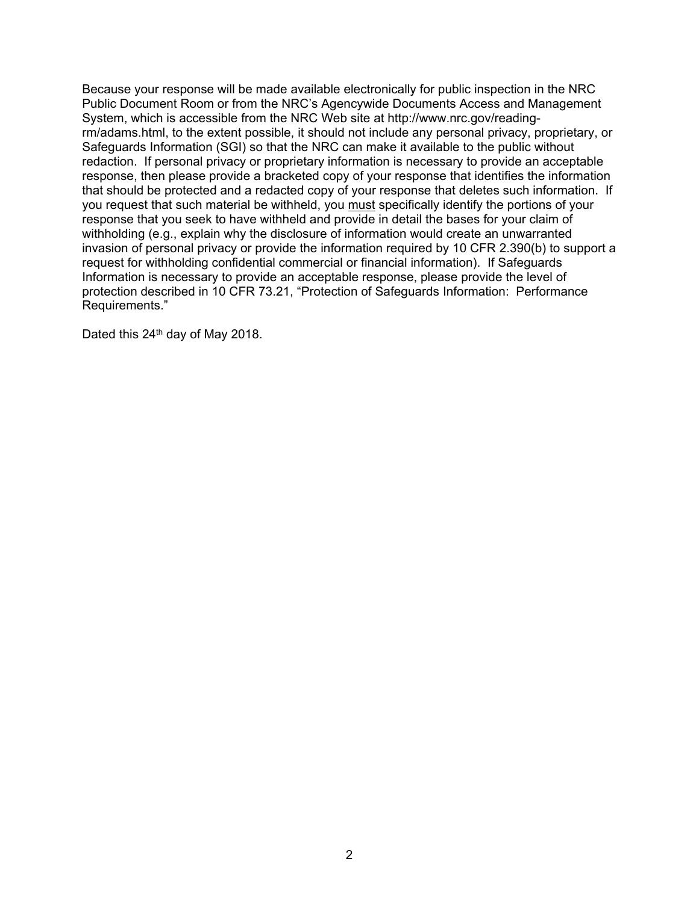Because your response will be made available electronically for public inspection in the NRC Public Document Room or from the NRC's Agencywide Documents Access and Management System, which is accessible from the NRC Web site at http://www.nrc.gov/readingrm/adams.html, to the extent possible, it should not include any personal privacy, proprietary, or Safeguards Information (SGI) so that the NRC can make it available to the public without redaction. If personal privacy or proprietary information is necessary to provide an acceptable response, then please provide a bracketed copy of your response that identifies the information that should be protected and a redacted copy of your response that deletes such information. If you request that such material be withheld, you must specifically identify the portions of your response that you seek to have withheld and provide in detail the bases for your claim of withholding (e.g., explain why the disclosure of information would create an unwarranted invasion of personal privacy or provide the information required by 10 CFR 2.390(b) to support a request for withholding confidential commercial or financial information). If Safeguards Information is necessary to provide an acceptable response, please provide the level of protection described in 10 CFR 73.21, "Protection of Safeguards Information: Performance Requirements."

Dated this  $24<sup>th</sup>$  day of May 2018.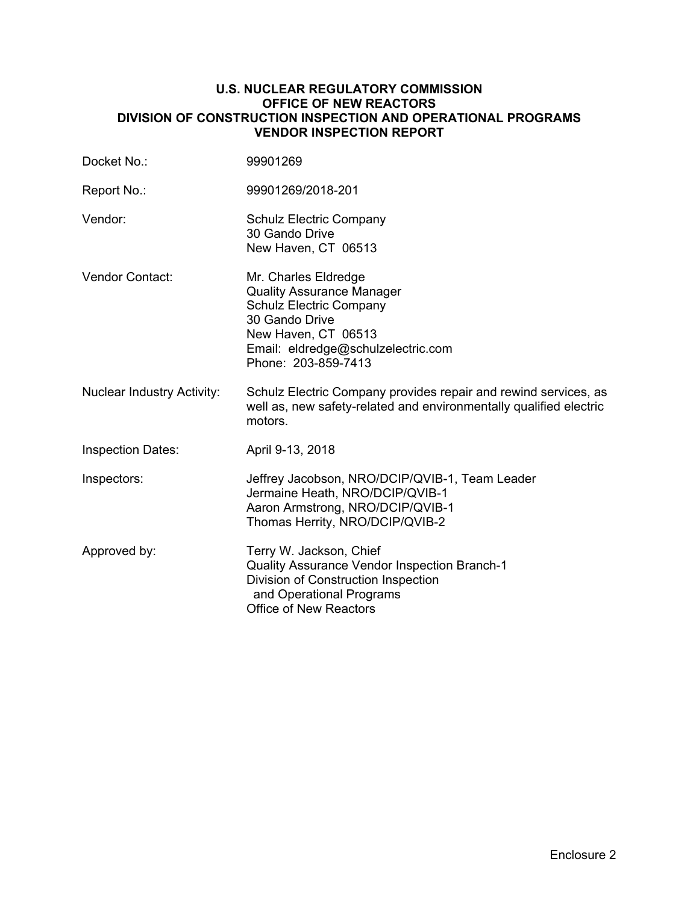### **U.S. NUCLEAR REGULATORY COMMISSION OFFICE OF NEW REACTORS DIVISION OF CONSTRUCTION INSPECTION AND OPERATIONAL PROGRAMS VENDOR INSPECTION REPORT**

| Docket No.:                       | 99901269                                                                                                                                                                                         |
|-----------------------------------|--------------------------------------------------------------------------------------------------------------------------------------------------------------------------------------------------|
| Report No.:                       | 99901269/2018-201                                                                                                                                                                                |
| Vendor:                           | <b>Schulz Electric Company</b><br>30 Gando Drive<br>New Haven, CT 06513                                                                                                                          |
| Vendor Contact:                   | Mr. Charles Eldredge<br><b>Quality Assurance Manager</b><br><b>Schulz Electric Company</b><br>30 Gando Drive<br>New Haven, CT 06513<br>Email: eldredge@schulzelectric.com<br>Phone: 203-859-7413 |
| <b>Nuclear Industry Activity:</b> | Schulz Electric Company provides repair and rewind services, as<br>well as, new safety-related and environmentally qualified electric<br>motors.                                                 |
| <b>Inspection Dates:</b>          | April 9-13, 2018                                                                                                                                                                                 |
| Inspectors:                       | Jeffrey Jacobson, NRO/DCIP/QVIB-1, Team Leader<br>Jermaine Heath, NRO/DCIP/QVIB-1<br>Aaron Armstrong, NRO/DCIP/QVIB-1<br>Thomas Herrity, NRO/DCIP/QVIB-2                                         |
| Approved by:                      | Terry W. Jackson, Chief<br><b>Quality Assurance Vendor Inspection Branch-1</b><br>Division of Construction Inspection<br>and Operational Programs<br>Office of New Reactors                      |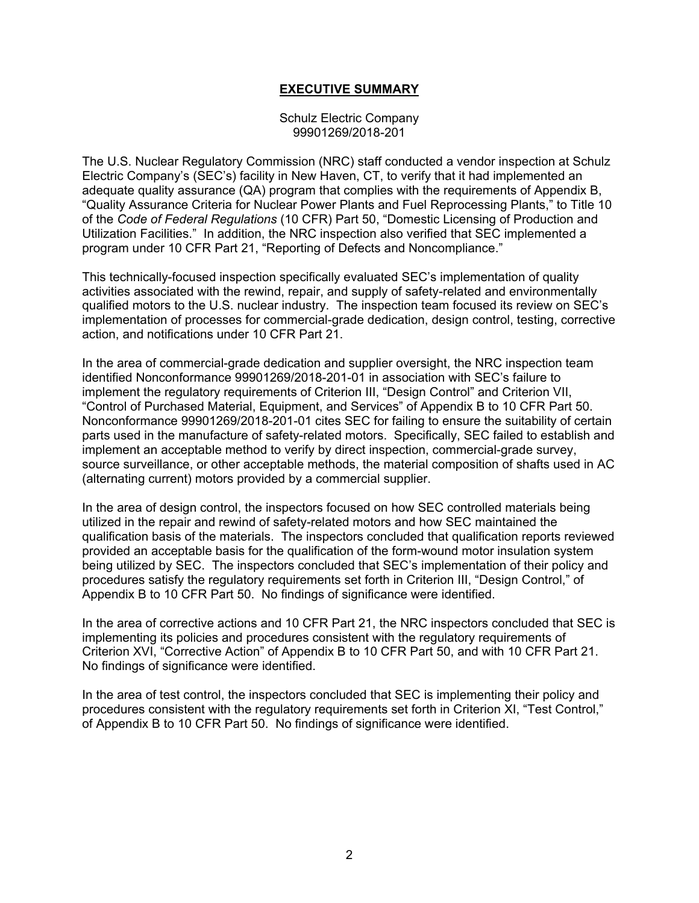## **EXECUTIVE SUMMARY**

#### Schulz Electric Company 99901269/2018-201

The U.S. Nuclear Regulatory Commission (NRC) staff conducted a vendor inspection at Schulz Electric Company's (SEC's) facility in New Haven, CT, to verify that it had implemented an adequate quality assurance (QA) program that complies with the requirements of Appendix B, "Quality Assurance Criteria for Nuclear Power Plants and Fuel Reprocessing Plants," to Title 10 of the *Code of Federal Regulations* (10 CFR) Part 50, "Domestic Licensing of Production and Utilization Facilities." In addition, the NRC inspection also verified that SEC implemented a program under 10 CFR Part 21, "Reporting of Defects and Noncompliance."

This technically-focused inspection specifically evaluated SEC's implementation of quality activities associated with the rewind, repair, and supply of safety-related and environmentally qualified motors to the U.S. nuclear industry. The inspection team focused its review on SEC's implementation of processes for commercial-grade dedication, design control, testing, corrective action, and notifications under 10 CFR Part 21.

In the area of commercial-grade dedication and supplier oversight, the NRC inspection team identified Nonconformance 99901269/2018-201-01 in association with SEC's failure to implement the regulatory requirements of Criterion III, "Design Control" and Criterion VII, "Control of Purchased Material, Equipment, and Services" of Appendix B to 10 CFR Part 50. Nonconformance 99901269/2018-201-01 cites SEC for failing to ensure the suitability of certain parts used in the manufacture of safety-related motors. Specifically, SEC failed to establish and implement an acceptable method to verify by direct inspection, commercial-grade survey, source surveillance, or other acceptable methods, the material composition of shafts used in AC (alternating current) motors provided by a commercial supplier.

In the area of design control, the inspectors focused on how SEC controlled materials being utilized in the repair and rewind of safety-related motors and how SEC maintained the qualification basis of the materials. The inspectors concluded that qualification reports reviewed provided an acceptable basis for the qualification of the form-wound motor insulation system being utilized by SEC. The inspectors concluded that SEC's implementation of their policy and procedures satisfy the regulatory requirements set forth in Criterion III, "Design Control," of Appendix B to 10 CFR Part 50. No findings of significance were identified.

In the area of corrective actions and 10 CFR Part 21, the NRC inspectors concluded that SEC is implementing its policies and procedures consistent with the regulatory requirements of Criterion XVI, "Corrective Action" of Appendix B to 10 CFR Part 50, and with 10 CFR Part 21. No findings of significance were identified.

In the area of test control, the inspectors concluded that SEC is implementing their policy and procedures consistent with the regulatory requirements set forth in Criterion XI, "Test Control," of Appendix B to 10 CFR Part 50. No findings of significance were identified.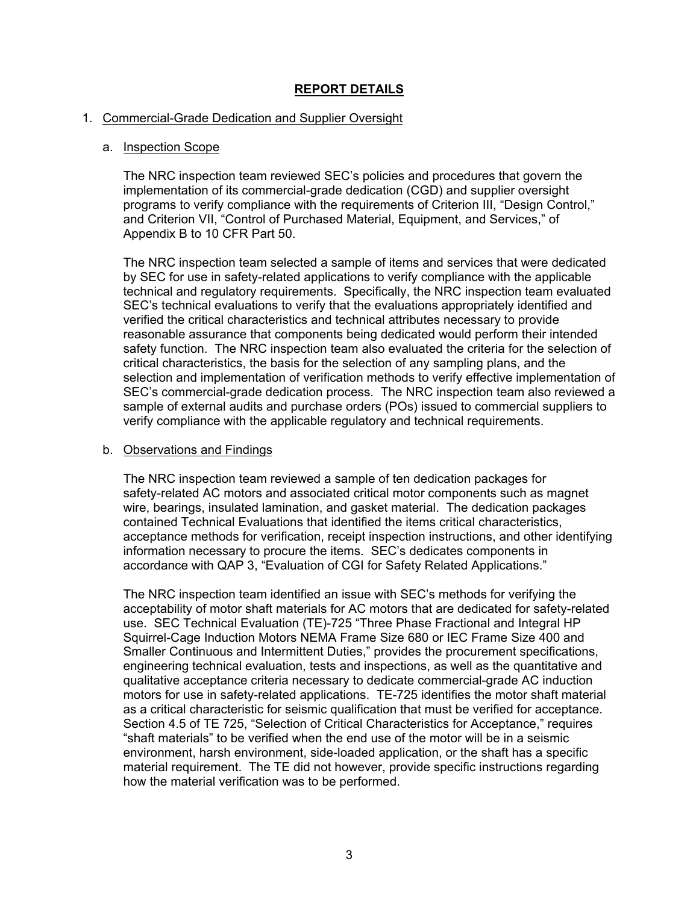# **REPORT DETAILS**

### 1. Commercial-Grade Dedication and Supplier Oversight

### a. Inspection Scope

The NRC inspection team reviewed SEC's policies and procedures that govern the implementation of its commercial-grade dedication (CGD) and supplier oversight programs to verify compliance with the requirements of Criterion III, "Design Control," and Criterion VII, "Control of Purchased Material, Equipment, and Services," of Appendix B to 10 CFR Part 50.

The NRC inspection team selected a sample of items and services that were dedicated by SEC for use in safety-related applications to verify compliance with the applicable technical and regulatory requirements. Specifically, the NRC inspection team evaluated SEC's technical evaluations to verify that the evaluations appropriately identified and verified the critical characteristics and technical attributes necessary to provide reasonable assurance that components being dedicated would perform their intended safety function. The NRC inspection team also evaluated the criteria for the selection of critical characteristics, the basis for the selection of any sampling plans, and the selection and implementation of verification methods to verify effective implementation of SEC's commercial-grade dedication process. The NRC inspection team also reviewed a sample of external audits and purchase orders (POs) issued to commercial suppliers to verify compliance with the applicable regulatory and technical requirements.

#### b. Observations and Findings

The NRC inspection team reviewed a sample of ten dedication packages for safety-related AC motors and associated critical motor components such as magnet wire, bearings, insulated lamination, and gasket material. The dedication packages contained Technical Evaluations that identified the items critical characteristics, acceptance methods for verification, receipt inspection instructions, and other identifying information necessary to procure the items. SEC's dedicates components in accordance with QAP 3, "Evaluation of CGI for Safety Related Applications."

The NRC inspection team identified an issue with SEC's methods for verifying the acceptability of motor shaft materials for AC motors that are dedicated for safety-related use. SEC Technical Evaluation (TE)-725 "Three Phase Fractional and Integral HP Squirrel-Cage Induction Motors NEMA Frame Size 680 or IEC Frame Size 400 and Smaller Continuous and Intermittent Duties," provides the procurement specifications, engineering technical evaluation, tests and inspections, as well as the quantitative and qualitative acceptance criteria necessary to dedicate commercial-grade AC induction motors for use in safety-related applications. TE-725 identifies the motor shaft material as a critical characteristic for seismic qualification that must be verified for acceptance. Section 4.5 of TE 725, "Selection of Critical Characteristics for Acceptance," requires "shaft materials" to be verified when the end use of the motor will be in a seismic environment, harsh environment, side-loaded application, or the shaft has a specific material requirement. The TE did not however, provide specific instructions regarding how the material verification was to be performed.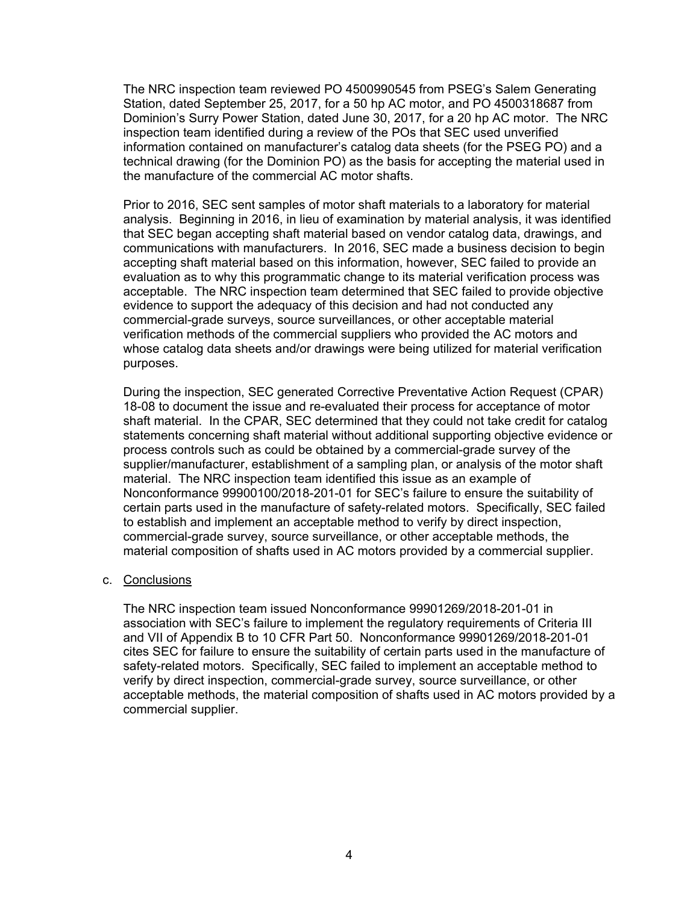The NRC inspection team reviewed PO 4500990545 from PSEG's Salem Generating Station, dated September 25, 2017, for a 50 hp AC motor, and PO 4500318687 from Dominion's Surry Power Station, dated June 30, 2017, for a 20 hp AC motor. The NRC inspection team identified during a review of the POs that SEC used unverified information contained on manufacturer's catalog data sheets (for the PSEG PO) and a technical drawing (for the Dominion PO) as the basis for accepting the material used in the manufacture of the commercial AC motor shafts.

Prior to 2016, SEC sent samples of motor shaft materials to a laboratory for material analysis. Beginning in 2016, in lieu of examination by material analysis, it was identified that SEC began accepting shaft material based on vendor catalog data, drawings, and communications with manufacturers. In 2016, SEC made a business decision to begin accepting shaft material based on this information, however, SEC failed to provide an evaluation as to why this programmatic change to its material verification process was acceptable. The NRC inspection team determined that SEC failed to provide objective evidence to support the adequacy of this decision and had not conducted any commercial-grade surveys, source surveillances, or other acceptable material verification methods of the commercial suppliers who provided the AC motors and whose catalog data sheets and/or drawings were being utilized for material verification purposes.

During the inspection, SEC generated Corrective Preventative Action Request (CPAR) 18-08 to document the issue and re-evaluated their process for acceptance of motor shaft material. In the CPAR, SEC determined that they could not take credit for catalog statements concerning shaft material without additional supporting objective evidence or process controls such as could be obtained by a commercial-grade survey of the supplier/manufacturer, establishment of a sampling plan, or analysis of the motor shaft material. The NRC inspection team identified this issue as an example of Nonconformance 99900100/2018-201-01 for SEC's failure to ensure the suitability of certain parts used in the manufacture of safety-related motors. Specifically, SEC failed to establish and implement an acceptable method to verify by direct inspection, commercial-grade survey, source surveillance, or other acceptable methods, the material composition of shafts used in AC motors provided by a commercial supplier.

#### c. Conclusions

The NRC inspection team issued Nonconformance 99901269/2018-201-01 in association with SEC's failure to implement the regulatory requirements of Criteria III and VII of Appendix B to 10 CFR Part 50. Nonconformance 99901269/2018-201-01 cites SEC for failure to ensure the suitability of certain parts used in the manufacture of safety-related motors. Specifically, SEC failed to implement an acceptable method to verify by direct inspection, commercial-grade survey, source surveillance, or other acceptable methods, the material composition of shafts used in AC motors provided by a commercial supplier.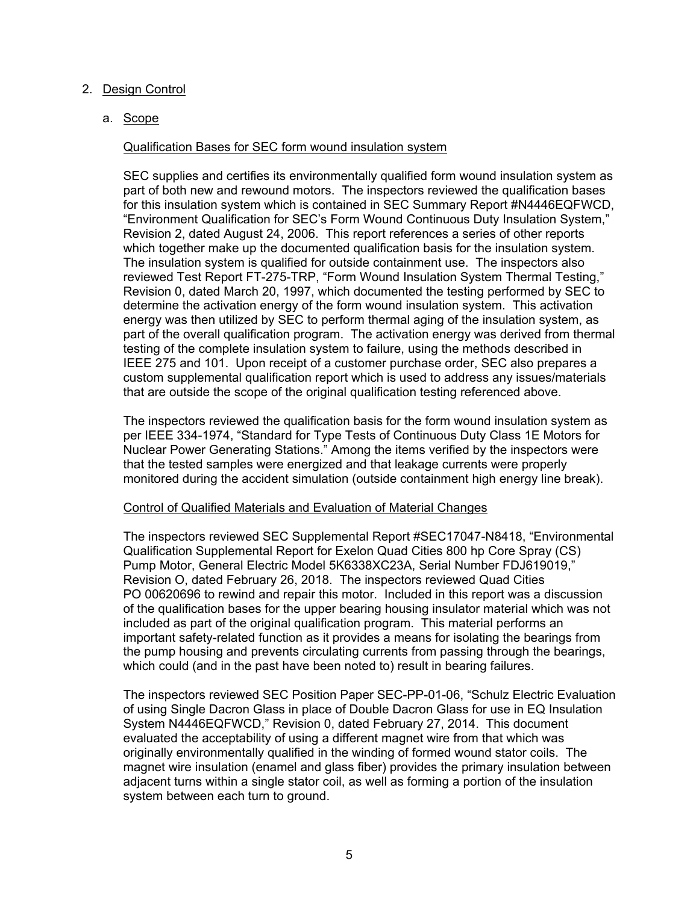## 2. Design Control

a. Scope

### Qualification Bases for SEC form wound insulation system

SEC supplies and certifies its environmentally qualified form wound insulation system as part of both new and rewound motors. The inspectors reviewed the qualification bases for this insulation system which is contained in SEC Summary Report #N4446EQFWCD, "Environment Qualification for SEC's Form Wound Continuous Duty Insulation System," Revision 2, dated August 24, 2006. This report references a series of other reports which together make up the documented qualification basis for the insulation system. The insulation system is qualified for outside containment use. The inspectors also reviewed Test Report FT-275-TRP, "Form Wound Insulation System Thermal Testing," Revision 0, dated March 20, 1997, which documented the testing performed by SEC to determine the activation energy of the form wound insulation system. This activation energy was then utilized by SEC to perform thermal aging of the insulation system, as part of the overall qualification program. The activation energy was derived from thermal testing of the complete insulation system to failure, using the methods described in IEEE 275 and 101. Upon receipt of a customer purchase order, SEC also prepares a custom supplemental qualification report which is used to address any issues/materials that are outside the scope of the original qualification testing referenced above.

The inspectors reviewed the qualification basis for the form wound insulation system as per IEEE 334-1974, "Standard for Type Tests of Continuous Duty Class 1E Motors for Nuclear Power Generating Stations." Among the items verified by the inspectors were that the tested samples were energized and that leakage currents were properly monitored during the accident simulation (outside containment high energy line break).

#### Control of Qualified Materials and Evaluation of Material Changes

The inspectors reviewed SEC Supplemental Report #SEC17047-N8418, "Environmental Qualification Supplemental Report for Exelon Quad Cities 800 hp Core Spray (CS) Pump Motor, General Electric Model 5K6338XC23A, Serial Number FDJ619019," Revision O, dated February 26, 2018. The inspectors reviewed Quad Cities PO 00620696 to rewind and repair this motor. Included in this report was a discussion of the qualification bases for the upper bearing housing insulator material which was not included as part of the original qualification program. This material performs an important safety-related function as it provides a means for isolating the bearings from the pump housing and prevents circulating currents from passing through the bearings, which could (and in the past have been noted to) result in bearing failures.

The inspectors reviewed SEC Position Paper SEC-PP-01-06, "Schulz Electric Evaluation of using Single Dacron Glass in place of Double Dacron Glass for use in EQ Insulation System N4446EQFWCD," Revision 0, dated February 27, 2014. This document evaluated the acceptability of using a different magnet wire from that which was originally environmentally qualified in the winding of formed wound stator coils. The magnet wire insulation (enamel and glass fiber) provides the primary insulation between adjacent turns within a single stator coil, as well as forming a portion of the insulation system between each turn to ground.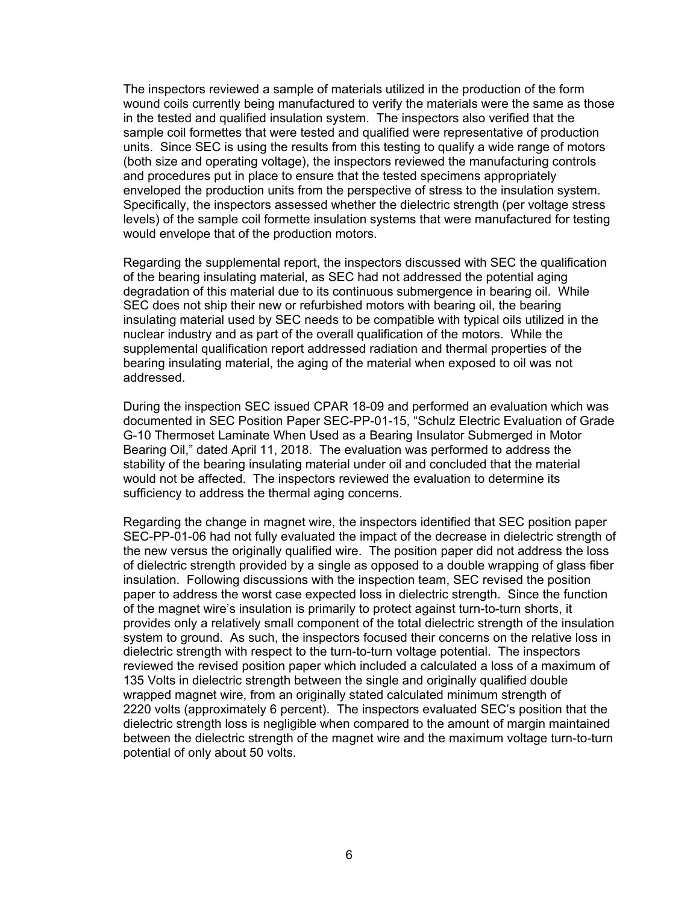The inspectors reviewed a sample of materials utilized in the production of the form wound coils currently being manufactured to verify the materials were the same as those in the tested and qualified insulation system. The inspectors also verified that the sample coil formettes that were tested and qualified were representative of production units. Since SEC is using the results from this testing to qualify a wide range of motors (both size and operating voltage), the inspectors reviewed the manufacturing controls and procedures put in place to ensure that the tested specimens appropriately enveloped the production units from the perspective of stress to the insulation system. Specifically, the inspectors assessed whether the dielectric strength (per voltage stress levels) of the sample coil formette insulation systems that were manufactured for testing would envelope that of the production motors.

Regarding the supplemental report, the inspectors discussed with SEC the qualification of the bearing insulating material, as SEC had not addressed the potential aging degradation of this material due to its continuous submergence in bearing oil. While SEC does not ship their new or refurbished motors with bearing oil, the bearing insulating material used by SEC needs to be compatible with typical oils utilized in the nuclear industry and as part of the overall qualification of the motors. While the supplemental qualification report addressed radiation and thermal properties of the bearing insulating material, the aging of the material when exposed to oil was not addressed.

During the inspection SEC issued CPAR 18-09 and performed an evaluation which was documented in SEC Position Paper SEC-PP-01-15, "Schulz Electric Evaluation of Grade G-10 Thermoset Laminate When Used as a Bearing Insulator Submerged in Motor Bearing Oil," dated April 11, 2018. The evaluation was performed to address the stability of the bearing insulating material under oil and concluded that the material would not be affected. The inspectors reviewed the evaluation to determine its sufficiency to address the thermal aging concerns.

Regarding the change in magnet wire, the inspectors identified that SEC position paper SEC-PP-01-06 had not fully evaluated the impact of the decrease in dielectric strength of the new versus the originally qualified wire. The position paper did not address the loss of dielectric strength provided by a single as opposed to a double wrapping of glass fiber insulation. Following discussions with the inspection team, SEC revised the position paper to address the worst case expected loss in dielectric strength. Since the function of the magnet wire's insulation is primarily to protect against turn-to-turn shorts, it provides only a relatively small component of the total dielectric strength of the insulation system to ground. As such, the inspectors focused their concerns on the relative loss in dielectric strength with respect to the turn-to-turn voltage potential. The inspectors reviewed the revised position paper which included a calculated a loss of a maximum of 135 Volts in dielectric strength between the single and originally qualified double wrapped magnet wire, from an originally stated calculated minimum strength of 2220 volts (approximately 6 percent). The inspectors evaluated SEC's position that the dielectric strength loss is negligible when compared to the amount of margin maintained between the dielectric strength of the magnet wire and the maximum voltage turn-to-turn potential of only about 50 volts.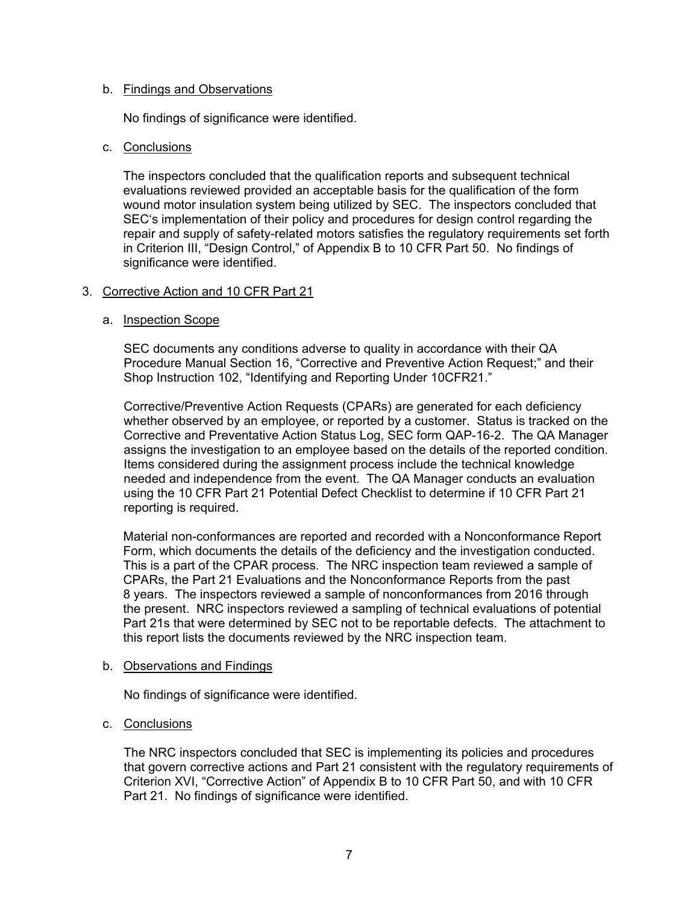### b. Findings and Observations

No findings of significance were identified.

### c. Conclusions

The inspectors concluded that the qualification reports and subsequent technical evaluations reviewed provided an acceptable basis for the qualification of the form wound motor insulation system being utilized by SEC. The inspectors concluded that SEC's implementation of their policy and procedures for design control regarding the repair and supply of safety-related motors satisfies the regulatory requirements set forth in Criterion III, "Design Control," of Appendix B to 10 CFR Part 50. No findings of significance were identified.

### 3. Corrective Action and 10 CFR Part 21

### a. Inspection Scope

SEC documents any conditions adverse to quality in accordance with their QA Procedure Manual Section 16, "Corrective and Preventive Action Request;" and their Shop Instruction 102, "Identifying and Reporting Under 10CFR21."

Corrective/Preventive Action Requests (CPARs) are generated for each deficiency whether observed by an employee, or reported by a customer. Status is tracked on the Corrective and Preventative Action Status Log, SEC form QAP-16-2. The QA Manager assigns the investigation to an employee based on the details of the reported condition. Items considered during the assignment process include the technical knowledge needed and independence from the event. The QA Manager conducts an evaluation using the 10 CFR Part 21 Potential Defect Checklist to determine if 10 CFR Part 21 reporting is required.

Material non-conformances are reported and recorded with a Nonconformance Report Form, which documents the details of the deficiency and the investigation conducted. This is a part of the CPAR process. The NRC inspection team reviewed a sample of CPARs, the Part 21 Evaluations and the Nonconformance Reports from the past 8 years. The inspectors reviewed a sample of nonconformances from 2016 through the present. NRC inspectors reviewed a sampling of technical evaluations of potential Part 21s that were determined by SEC not to be reportable defects. The attachment to this report lists the documents reviewed by the NRC inspection team.

#### b. Observations and Findings

No findings of significance were identified.

#### c. Conclusions

The NRC inspectors concluded that SEC is implementing its policies and procedures that govern corrective actions and Part 21 consistent with the regulatory requirements of Criterion XVI, "Corrective Action" of Appendix B to 10 CFR Part 50, and with 10 CFR Part 21. No findings of significance were identified.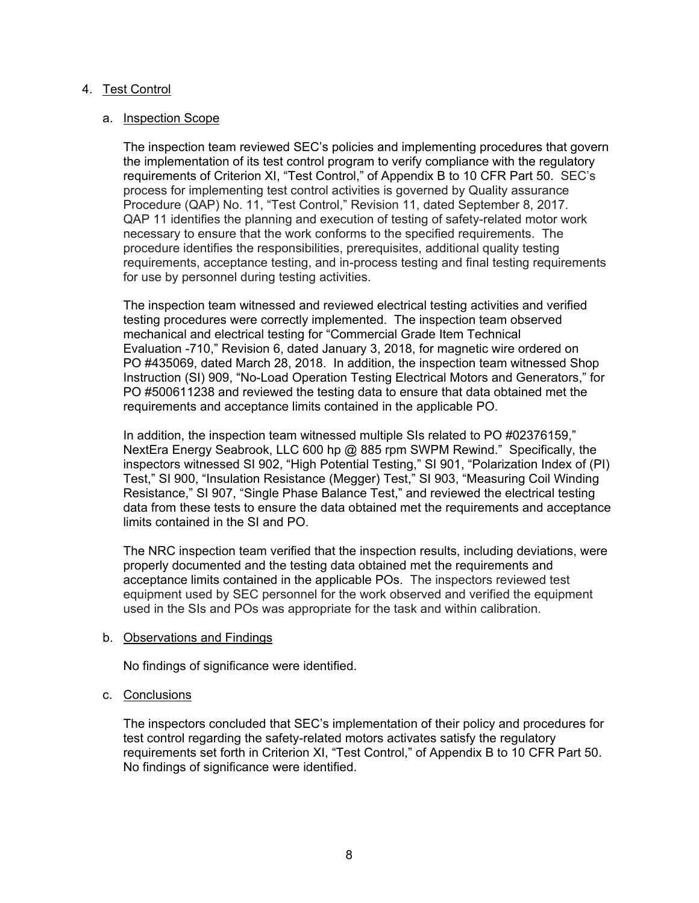## 4. Test Control

#### a. Inspection Scope

The inspection team reviewed SEC's policies and implementing procedures that govern the implementation of its test control program to verify compliance with the regulatory requirements of Criterion XI, "Test Control," of Appendix B to 10 CFR Part 50. SEC's process for implementing test control activities is governed by Quality assurance Procedure (QAP) No. 11, "Test Control," Revision 11, dated September 8, 2017. QAP 11 identifies the planning and execution of testing of safety-related motor work necessary to ensure that the work conforms to the specified requirements. The procedure identifies the responsibilities, prerequisites, additional quality testing requirements, acceptance testing, and in-process testing and final testing requirements for use by personnel during testing activities.

The inspection team witnessed and reviewed electrical testing activities and verified testing procedures were correctly implemented. The inspection team observed mechanical and electrical testing for "Commercial Grade Item Technical Evaluation -710," Revision 6, dated January 3, 2018, for magnetic wire ordered on PO #435069, dated March 28, 2018. In addition, the inspection team witnessed Shop Instruction (SI) 909, "No-Load Operation Testing Electrical Motors and Generators," for PO #500611238 and reviewed the testing data to ensure that data obtained met the requirements and acceptance limits contained in the applicable PO.

In addition, the inspection team witnessed multiple SIs related to PO #02376159," NextEra Energy Seabrook, LLC 600 hp @ 885 rpm SWPM Rewind." Specifically, the inspectors witnessed SI 902, "High Potential Testing," SI 901, "Polarization Index of (PI) Test," SI 900, "Insulation Resistance (Megger) Test," SI 903, "Measuring Coil Winding Resistance," SI 907, "Single Phase Balance Test," and reviewed the electrical testing data from these tests to ensure the data obtained met the requirements and acceptance limits contained in the SI and PO.

The NRC inspection team verified that the inspection results, including deviations, were properly documented and the testing data obtained met the requirements and acceptance limits contained in the applicable POs. The inspectors reviewed test equipment used by SEC personnel for the work observed and verified the equipment used in the SIs and POs was appropriate for the task and within calibration.

#### b. Observations and Findings

No findings of significance were identified.

### c. Conclusions

The inspectors concluded that SEC's implementation of their policy and procedures for test control regarding the safety-related motors activates satisfy the regulatory requirements set forth in Criterion XI, "Test Control," of Appendix B to 10 CFR Part 50. No findings of significance were identified.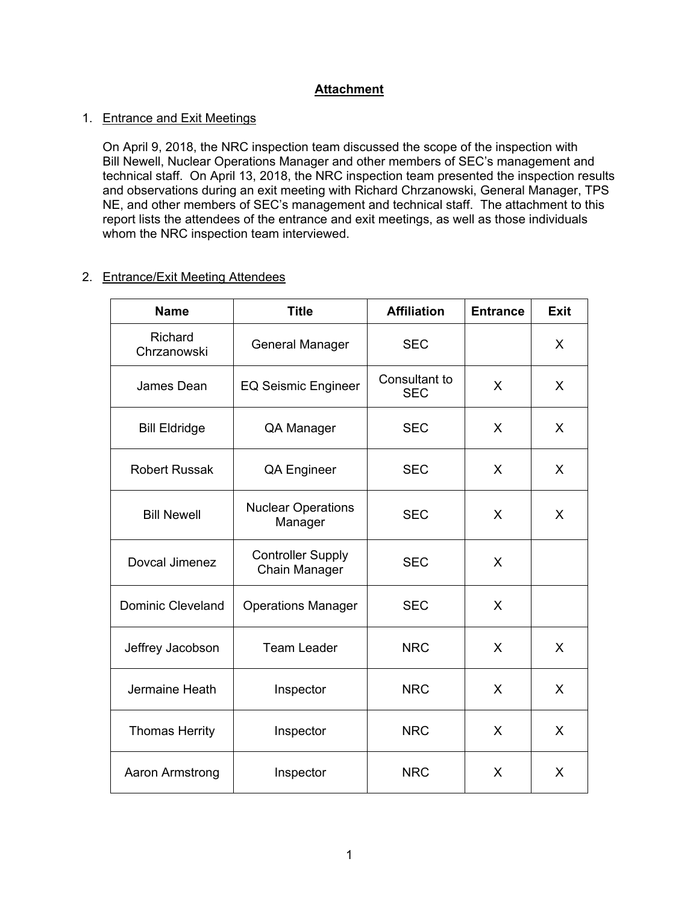# **Attachment**

## 1. Entrance and Exit Meetings

On April 9, 2018, the NRC inspection team discussed the scope of the inspection with Bill Newell, Nuclear Operations Manager and other members of SEC's management and technical staff. On April 13, 2018, the NRC inspection team presented the inspection results and observations during an exit meeting with Richard Chrzanowski, General Manager, TPS NE, and other members of SEC's management and technical staff. The attachment to this report lists the attendees of the entrance and exit meetings, as well as those individuals whom the NRC inspection team interviewed.

## 2. Entrance/Exit Meeting Attendees

| <b>Name</b>              | <b>Title</b>                              | <b>Affiliation</b>          | <b>Entrance</b> | <b>Exit</b> |
|--------------------------|-------------------------------------------|-----------------------------|-----------------|-------------|
| Richard<br>Chrzanowski   | <b>General Manager</b>                    | <b>SEC</b>                  |                 | X           |
| James Dean               | <b>EQ Seismic Engineer</b>                | Consultant to<br><b>SEC</b> | X               | X           |
| <b>Bill Eldridge</b>     | QA Manager                                | <b>SEC</b>                  | X               | X           |
| <b>Robert Russak</b>     | <b>QA Engineer</b>                        | <b>SEC</b>                  | X               | X           |
| <b>Bill Newell</b>       | <b>Nuclear Operations</b><br>Manager      | <b>SEC</b>                  | X               | X           |
| Dovcal Jimenez           | <b>Controller Supply</b><br>Chain Manager | <b>SEC</b>                  | X               |             |
| <b>Dominic Cleveland</b> | <b>Operations Manager</b>                 | <b>SEC</b>                  | X               |             |
| Jeffrey Jacobson         | <b>Team Leader</b>                        | <b>NRC</b>                  | X               | X           |
| Jermaine Heath           | Inspector                                 | <b>NRC</b>                  | X               | X           |
| <b>Thomas Herrity</b>    | Inspector                                 | <b>NRC</b>                  | X               | X           |
| Aaron Armstrong          | Inspector                                 | <b>NRC</b>                  | X               | X           |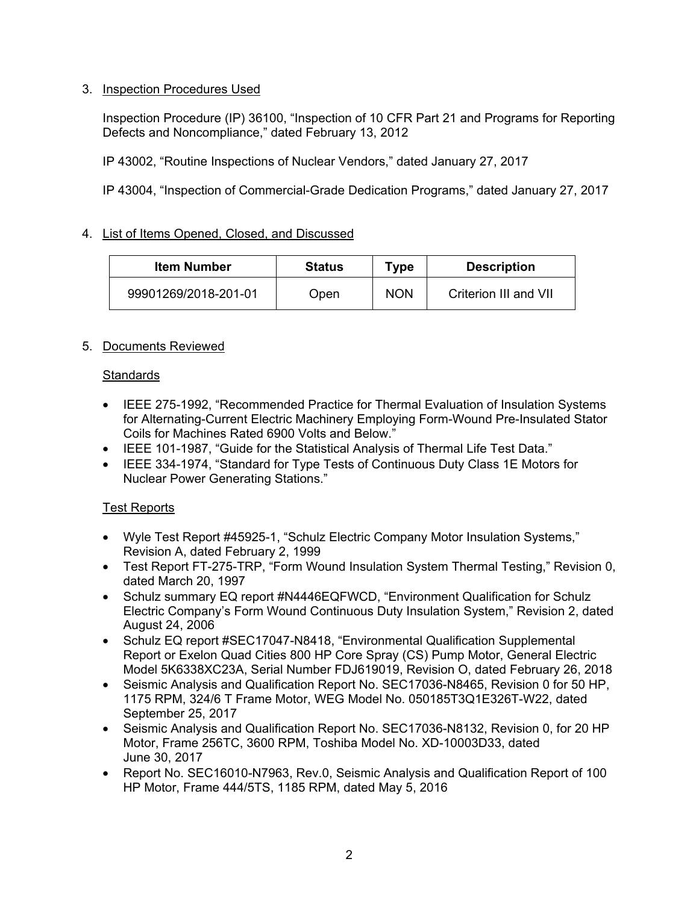# 3. Inspection Procedures Used

Inspection Procedure (IP) 36100, "Inspection of 10 CFR Part 21 and Programs for Reporting Defects and Noncompliance," dated February 13, 2012

IP 43002, "Routine Inspections of Nuclear Vendors," dated January 27, 2017

IP 43004, "Inspection of Commercial-Grade Dedication Programs," dated January 27, 2017

## 4. List of Items Opened, Closed, and Discussed

| Item Number          | <b>Status</b> | Type       | <b>Description</b>    |
|----------------------|---------------|------------|-----------------------|
| 99901269/2018-201-01 | Open          | <b>NON</b> | Criterion III and VII |

## 5. Documents Reviewed

## **Standards**

- IEEE 275-1992, "Recommended Practice for Thermal Evaluation of Insulation Systems for Alternating-Current Electric Machinery Employing Form-Wound Pre-Insulated Stator Coils for Machines Rated 6900 Volts and Below."
- IEEE 101-1987, "Guide for the Statistical Analysis of Thermal Life Test Data."
- IEEE 334-1974, "Standard for Type Tests of Continuous Duty Class 1E Motors for Nuclear Power Generating Stations."

## Test Reports

- Wyle Test Report #45925-1, "Schulz Electric Company Motor Insulation Systems," Revision A, dated February 2, 1999
- Test Report FT-275-TRP, "Form Wound Insulation System Thermal Testing," Revision 0, dated March 20, 1997
- Schulz summary EQ report #N4446EQFWCD, "Environment Qualification for Schulz Electric Company's Form Wound Continuous Duty Insulation System," Revision 2, dated August 24, 2006
- Schulz EQ report #SEC17047-N8418, "Environmental Qualification Supplemental Report or Exelon Quad Cities 800 HP Core Spray (CS) Pump Motor, General Electric Model 5K6338XC23A, Serial Number FDJ619019, Revision O, dated February 26, 2018
- Seismic Analysis and Qualification Report No. SEC17036-N8465, Revision 0 for 50 HP. 1175 RPM, 324/6 T Frame Motor, WEG Model No. 050185T3Q1E326T-W22, dated September 25, 2017
- Seismic Analysis and Qualification Report No. SEC17036-N8132, Revision 0, for 20 HP Motor, Frame 256TC, 3600 RPM, Toshiba Model No. XD-10003D33, dated June 30, 2017
- Report No. SEC16010-N7963, Rev.0, Seismic Analysis and Qualification Report of 100 HP Motor, Frame 444/5TS, 1185 RPM, dated May 5, 2016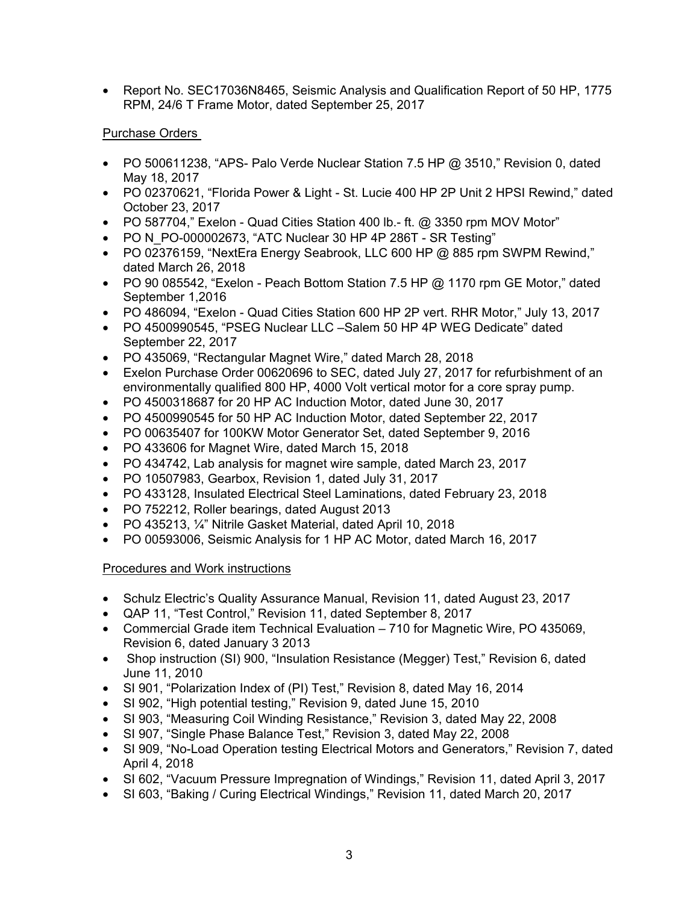• Report No. SEC17036N8465, Seismic Analysis and Qualification Report of 50 HP, 1775 RPM, 24/6 T Frame Motor, dated September 25, 2017

# Purchase Orders

- PO 500611238, "APS- Palo Verde Nuclear Station 7.5 HP @ 3510," Revision 0, dated May 18, 2017
- PO 02370621, "Florida Power & Light St. Lucie 400 HP 2P Unit 2 HPSI Rewind," dated October 23, 2017
- PO 587704," Exelon Quad Cities Station 400 lb.- ft. @ 3350 rpm MOV Motor"
- PO N\_PO-000002673, "ATC Nuclear 30 HP 4P 286T SR Testing"
- PO 02376159, "NextEra Energy Seabrook, LLC 600 HP @ 885 rpm SWPM Rewind," dated March 26, 2018
- PO 90 085542, "Exelon Peach Bottom Station 7.5 HP  $@$  1170 rpm GE Motor," dated September 1,2016
- PO 486094, "Exelon Quad Cities Station 600 HP 2P vert. RHR Motor," July 13, 2017
- PO 4500990545, "PSEG Nuclear LLC –Salem 50 HP 4P WEG Dedicate" dated September 22, 2017
- PO 435069, "Rectangular Magnet Wire," dated March 28, 2018
- Exelon Purchase Order 00620696 to SEC, dated July 27, 2017 for refurbishment of an environmentally qualified 800 HP, 4000 Volt vertical motor for a core spray pump.
- PO 4500318687 for 20 HP AC Induction Motor, dated June 30, 2017
- PO 4500990545 for 50 HP AC Induction Motor, dated September 22, 2017
- PO 00635407 for 100KW Motor Generator Set, dated September 9, 2016
- PO 433606 for Magnet Wire, dated March 15, 2018
- PO 434742, Lab analysis for magnet wire sample, dated March 23, 2017
- PO 10507983, Gearbox, Revision 1, dated July 31, 2017
- PO 433128, Insulated Electrical Steel Laminations, dated February 23, 2018
- PO 752212, Roller bearings, dated August 2013
- PO 435213, ¼" Nitrile Gasket Material, dated April 10, 2018
- PO 00593006, Seismic Analysis for 1 HP AC Motor, dated March 16, 2017

# Procedures and Work instructions

- Schulz Electric's Quality Assurance Manual, Revision 11, dated August 23, 2017
- QAP 11, "Test Control," Revision 11, dated September 8, 2017
- Commercial Grade item Technical Evaluation 710 for Magnetic Wire, PO 435069, Revision 6, dated January 3 2013
- Shop instruction (SI) 900, "Insulation Resistance (Megger) Test," Revision 6, dated June 11, 2010
- SI 901, "Polarization Index of (PI) Test," Revision 8, dated May 16, 2014
- SI 902, "High potential testing," Revision 9, dated June 15, 2010
- SI 903, "Measuring Coil Winding Resistance," Revision 3, dated May 22, 2008
- SI 907, "Single Phase Balance Test," Revision 3, dated May 22, 2008
- SI 909, "No-Load Operation testing Electrical Motors and Generators," Revision 7, dated April 4, 2018
- SI 602, "Vacuum Pressure Impregnation of Windings," Revision 11, dated April 3, 2017
- SI 603, "Baking / Curing Electrical Windings," Revision 11, dated March 20, 2017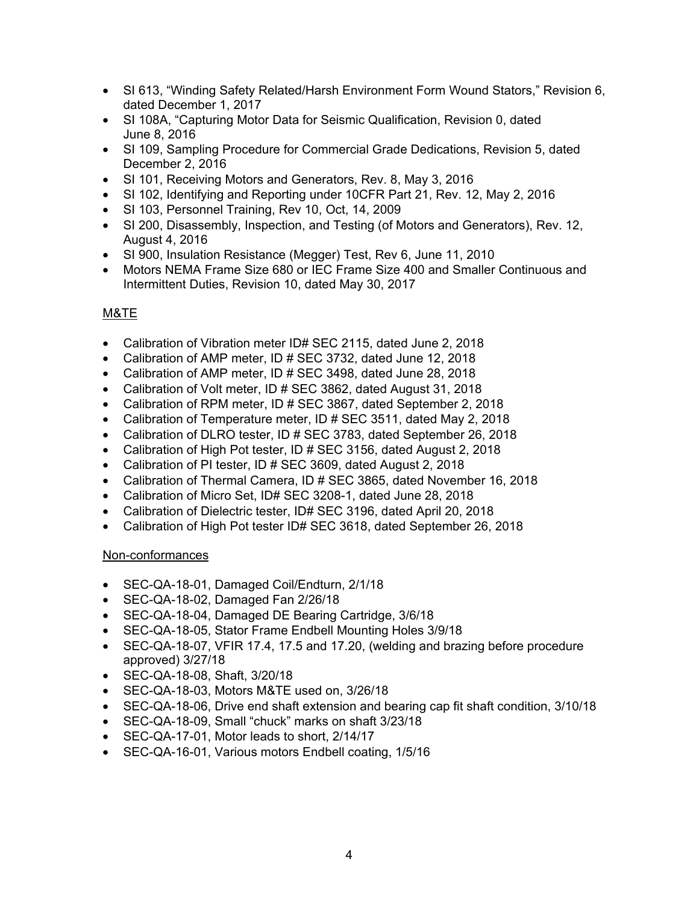- SI 613, "Winding Safety Related/Harsh Environment Form Wound Stators," Revision 6, dated December 1, 2017
- SI 108A, "Capturing Motor Data for Seismic Qualification, Revision 0, dated June 8, 2016
- SI 109, Sampling Procedure for Commercial Grade Dedications, Revision 5, dated December 2, 2016
- SI 101, Receiving Motors and Generators, Rev. 8, May 3, 2016
- SI 102, Identifying and Reporting under 10CFR Part 21, Rev. 12, May 2, 2016
- SI 103, Personnel Training, Rev 10, Oct, 14, 2009
- SI 200, Disassembly, Inspection, and Testing (of Motors and Generators), Rev. 12, August 4, 2016
- SI 900, Insulation Resistance (Megger) Test, Rev 6, June 11, 2010
- Motors NEMA Frame Size 680 or IEC Frame Size 400 and Smaller Continuous and Intermittent Duties, Revision 10, dated May 30, 2017

# M&TE

- Calibration of Vibration meter ID# SEC 2115, dated June 2, 2018
- Calibration of AMP meter, ID # SEC 3732, dated June 12, 2018
- Calibration of AMP meter, ID # SEC 3498, dated June 28, 2018
- Calibration of Volt meter, ID # SEC 3862, dated August 31, 2018
- Calibration of RPM meter, ID # SEC 3867, dated September 2, 2018
- Calibration of Temperature meter, ID # SEC 3511, dated May 2, 2018
- Calibration of DLRO tester, ID # SEC 3783, dated September 26, 2018
- Calibration of High Pot tester, ID # SEC 3156, dated August 2, 2018
- Calibration of PI tester, ID # SEC 3609, dated August 2, 2018
- Calibration of Thermal Camera, ID # SEC 3865, dated November 16, 2018
- Calibration of Micro Set, ID# SEC 3208-1, dated June 28, 2018
- Calibration of Dielectric tester, ID# SEC 3196, dated April 20, 2018
- Calibration of High Pot tester ID# SEC 3618, dated September 26, 2018

## Non-conformances

- SEC-QA-18-01, Damaged Coil/Endturn, 2/1/18
- SEC-QA-18-02, Damaged Fan 2/26/18
- SEC-QA-18-04, Damaged DE Bearing Cartridge, 3/6/18
- SEC-QA-18-05, Stator Frame Endbell Mounting Holes 3/9/18
- SEC-QA-18-07, VFIR 17.4, 17.5 and 17.20, (welding and brazing before procedure approved) 3/27/18
- SEC-QA-18-08, Shaft, 3/20/18
- SEC-QA-18-03, Motors M&TE used on, 3/26/18
- SEC-QA-18-06, Drive end shaft extension and bearing cap fit shaft condition, 3/10/18
- SEC-QA-18-09, Small "chuck" marks on shaft 3/23/18
- SEC-QA-17-01, Motor leads to short, 2/14/17
- SEC-QA-16-01, Various motors Endbell coating, 1/5/16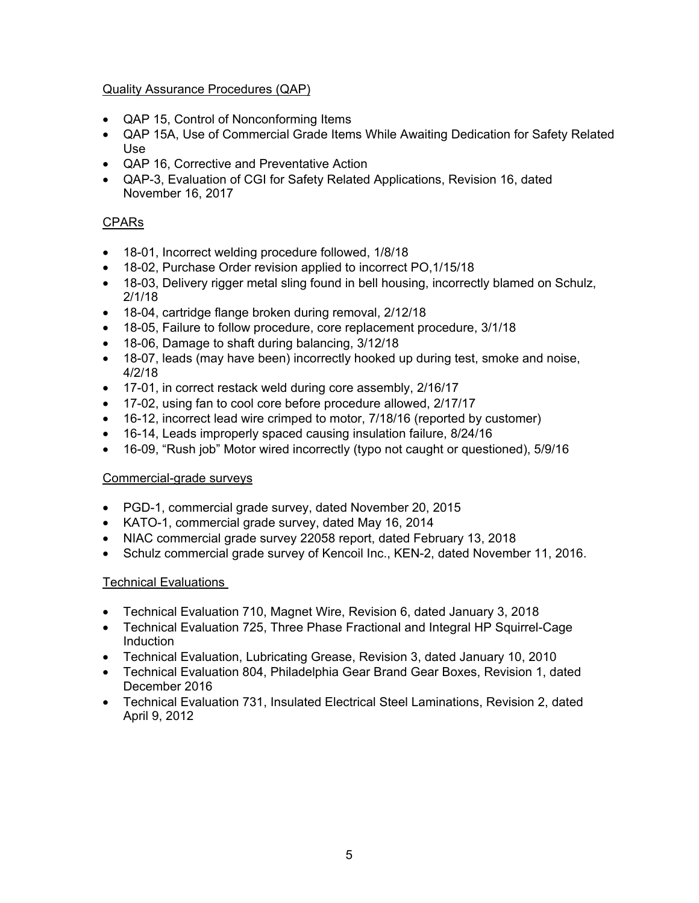# Quality Assurance Procedures (QAP)

- QAP 15, Control of Nonconforming Items
- QAP 15A, Use of Commercial Grade Items While Awaiting Dedication for Safety Related Use
- QAP 16, Corrective and Preventative Action
- QAP-3, Evaluation of CGI for Safety Related Applications, Revision 16, dated November 16, 2017

# **CPARs**

- 18-01, Incorrect welding procedure followed, 1/8/18
- 18-02, Purchase Order revision applied to incorrect PO,1/15/18
- 18-03, Delivery rigger metal sling found in bell housing, incorrectly blamed on Schulz, 2/1/18
- 18-04, cartridge flange broken during removal, 2/12/18
- 18-05, Failure to follow procedure, core replacement procedure, 3/1/18
- 18-06, Damage to shaft during balancing, 3/12/18
- 18-07, leads (may have been) incorrectly hooked up during test, smoke and noise, 4/2/18
- 17-01, in correct restack weld during core assembly, 2/16/17
- 17-02, using fan to cool core before procedure allowed, 2/17/17
- 16-12, incorrect lead wire crimped to motor, 7/18/16 (reported by customer)
- 16-14, Leads improperly spaced causing insulation failure, 8/24/16
- 16-09, "Rush job" Motor wired incorrectly (typo not caught or questioned), 5/9/16

## Commercial-grade surveys

- PGD-1, commercial grade survey, dated November 20, 2015
- KATO-1, commercial grade survey, dated May 16, 2014
- NIAC commercial grade survey 22058 report, dated February 13, 2018
- Schulz commercial grade survey of Kencoil Inc., KEN-2, dated November 11, 2016.

## Technical Evaluations

- Technical Evaluation 710, Magnet Wire, Revision 6, dated January 3, 2018
- Technical Evaluation 725, Three Phase Fractional and Integral HP Squirrel-Cage Induction
- Technical Evaluation, Lubricating Grease, Revision 3, dated January 10, 2010
- Technical Evaluation 804, Philadelphia Gear Brand Gear Boxes, Revision 1, dated December 2016
- Technical Evaluation 731, Insulated Electrical Steel Laminations, Revision 2, dated April 9, 2012